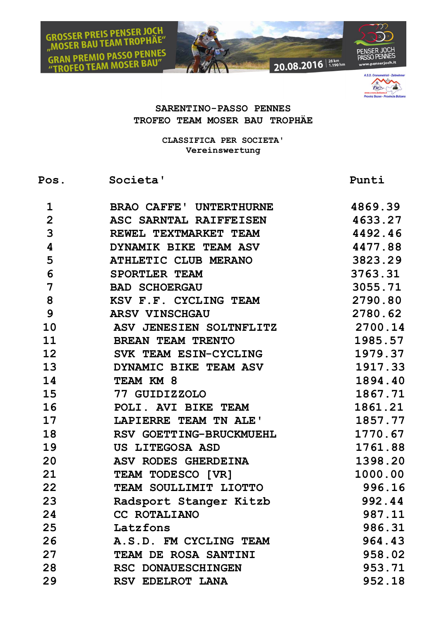



## **SARENTINO-PASSO PENNES TROFEO TEAM MOSER BAU TROPHÄE**

**CLASSIFICA PER SOCIETA' Vereinswertung**

Pos. Societa' Punti

| 1                       | <b>BRAO CAFFE' UNTERTHURNE</b> | 4869.39 |
|-------------------------|--------------------------------|---------|
| $\overline{2}$          | ASC SARNTAL RAIFFEISEN         | 4633.27 |
| 3                       | REWEL TEXTMARKET TEAM          | 4492.46 |
| $\overline{\mathbf{4}}$ | DYNAMIK BIKE TEAM ASV          | 4477.88 |
| 5                       | <b>ATHLETIC CLUB MERANO</b>    | 3823.29 |
| 6                       | SPORTLER TEAM                  | 3763.31 |
| 7                       | <b>BAD SCHOERGAU</b>           | 3055.71 |
| 8                       | KSV F.F. CYCLING TEAM          | 2790.80 |
| 9                       | <b>ARSV VINSCHGAU</b>          | 2780.62 |
| 10                      | ASV JENESIEN SOLTNFLITZ        | 2700.14 |
| 11                      | <b>BREAN TEAM TRENTO</b>       | 1985.57 |
| 12                      | SVK TEAM ESIN-CYCLING          | 1979.37 |
| 13 <sub>2</sub>         | DYNAMIC BIKE TEAM ASV          | 1917.33 |
| 14                      | TEAM KM 8                      | 1894.40 |
| 15 <sub>1</sub>         | 77 GUIDIZZOLO                  | 1867.71 |
| 16                      | POLI. AVI BIKE TEAM            | 1861.21 |
| 17                      | LAPIERRE TEAM TN ALE'          | 1857.77 |
| 18                      | RSV GOETTING-BRUCKMUEHL        | 1770.67 |
| 19                      | US LITEGOSA ASD                | 1761.88 |
| 20                      | ASV RODES GHERDEINA            | 1398.20 |
| 21                      | TEAM TODESCO [VR]              | 1000.00 |
| 22                      | TEAM SOULLIMIT LIOTTO          | 996.16  |
| 23                      | Radsport Stanger Kitzb         | 992.44  |
| 24                      | <b>CC ROTALIANO</b>            | 987.11  |
| 25                      | Latzfons                       | 986.31  |
| 26                      | A.S.D. FM CYCLING TEAM         | 964.43  |
| 27                      | TEAM DE ROSA SANTINI           | 958.02  |
| 28                      | RSC DONAUESCHINGEN             | 953.71  |
| 29                      | RSV EDELROT LANA               | 952.18  |
|                         |                                |         |